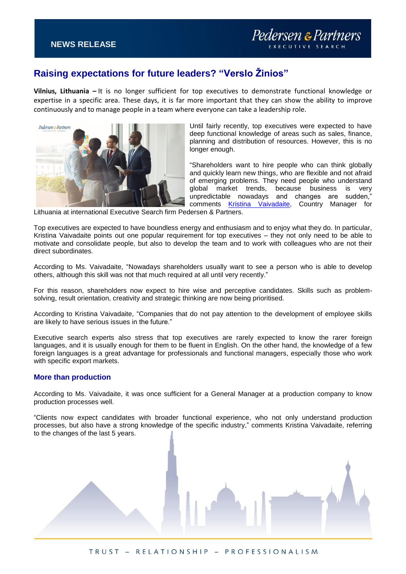## **Raising expectations for future leaders? "Verslo Žinios"**

**Vilnius, Lithuania –** It is no longer sufficient for top executives to demonstrate functional knowledge or expertise in a specific area. These days, it is far more important that they can show the ability to improve continuously and to manage people in a team where everyone can take a leadership role.



Until fairly recently, top executives were expected to have deep functional knowledge of areas such as sales, finance, planning and distribution of resources. However, this is no longer enough.

"Shareholders want to hire people who can think globally and quickly learn new things, who are flexible and not afraid of emerging problems. They need people who understand global market trends, because business is very unpredictable nowadays and changes are sudden," comments [Kristina Vaivadaite,](https://www.pedersenandpartners.com/team/consultants/kristina-vaivadaite) Country Manager for

Lithuania at international Executive Search firm Pedersen & Partners.

Top executives are expected to have boundless energy and enthusiasm and to enjoy what they do. In particular, Kristina Vaivadaite points out one popular requirement for top executives – they not only need to be able to motivate and consolidate people, but also to develop the team and to work with colleagues who are not their direct subordinates.

According to Ms. Vaivadaite, "Nowadays shareholders usually want to see a person who is able to develop others, although this skill was not that much required at all until very recently."

For this reason, shareholders now expect to hire wise and perceptive candidates. Skills such as problemsolving, result orientation, creativity and strategic thinking are now being prioritised.

According to Kristina Vaivadaite, "Companies that do not pay attention to the development of employee skills are likely to have serious issues in the future."

Executive search experts also stress that top executives are rarely expected to know the rarer foreign languages, and it is usually enough for them to be fluent in English. On the other hand, the knowledge of a few foreign languages is a great advantage for professionals and functional managers, especially those who work with specific export markets.

## **More than production**

According to Ms. Vaivadaite, it was once sufficient for a General Manager at a production company to know production processes well.

"Clients now expect candidates with broader functional experience, who not only understand production processes, but also have a strong knowledge of the specific industry," comments Kristina Vaivadaite, referring to the changes of the last 5 years.